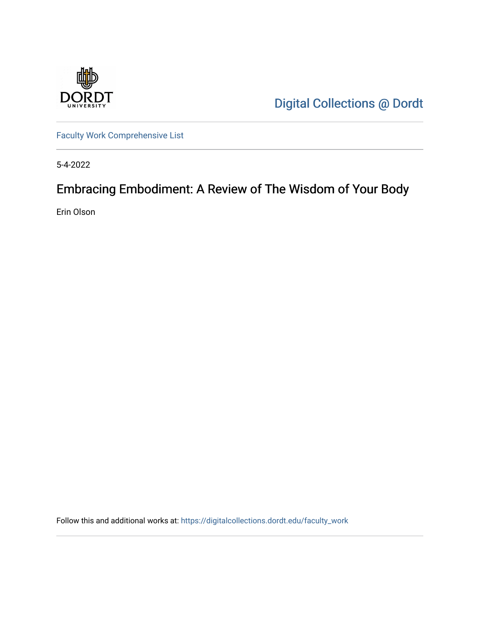

[Digital Collections @ Dordt](https://digitalcollections.dordt.edu/) 

[Faculty Work Comprehensive List](https://digitalcollections.dordt.edu/faculty_work)

5-4-2022

# Embracing Embodiment: A Review of The Wisdom of Your Body

Erin Olson

Follow this and additional works at: [https://digitalcollections.dordt.edu/faculty\\_work](https://digitalcollections.dordt.edu/faculty_work?utm_source=digitalcollections.dordt.edu%2Ffaculty_work%2F1391&utm_medium=PDF&utm_campaign=PDFCoverPages)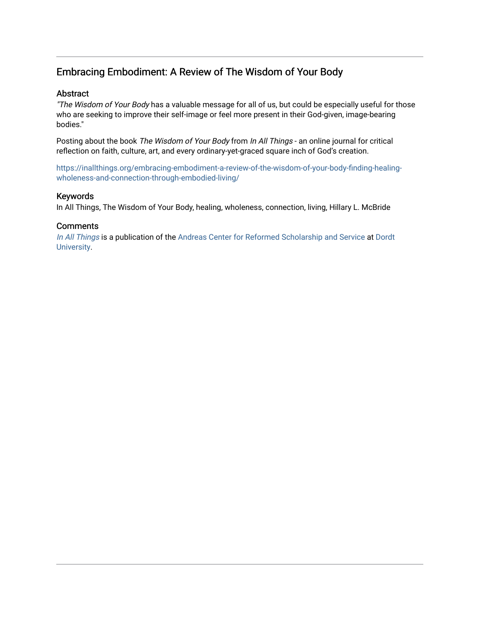## Embracing Embodiment: A Review of The Wisdom of Your Body

#### Abstract

"The Wisdom of Your Body has a valuable message for all of us, but could be especially useful for those who are seeking to improve their self-image or feel more present in their God-given, image-bearing bodies."

Posting about the book The Wisdom of Your Body from In All Things - an online journal for critical reflection on faith, culture, art, and every ordinary-yet-graced square inch of God's creation.

[https://inallthings.org/embracing-embodiment-a-review-of-the-wisdom-of-your-body-finding-healing](https://inallthings.org/embracing-embodiment-a-review-of-the-wisdom-of-your-body-finding-healing-wholeness-and-connection-through-embodied-living/)[wholeness-and-connection-through-embodied-living/](https://inallthings.org/embracing-embodiment-a-review-of-the-wisdom-of-your-body-finding-healing-wholeness-and-connection-through-embodied-living/) 

#### Keywords

In All Things, The Wisdom of Your Body, healing, wholeness, connection, living, Hillary L. McBride

#### **Comments**

[In All Things](http://inallthings.org/) is a publication of the [Andreas Center for Reformed Scholarship and Service](http://www.dordt.edu/services_support/andreas_center/) at Dordt [University](http://www.dordt.edu/).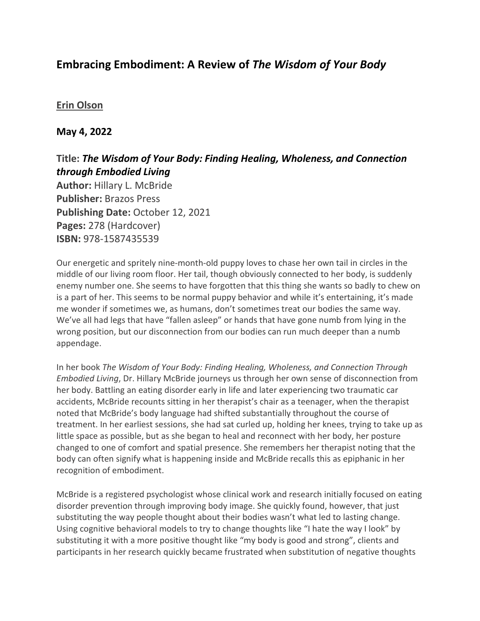# **Embracing Embodiment: A Review of** *The Wisdom of Your Body*

### **[Erin Olson](https://inallthings.org/author/erin-olson/)**

### **May 4, 2022**

## **Title:** *The Wisdom of Your Body: Finding Healing, Wholeness, and Connection through Embodied Living*

**Author:** Hillary L. McBride **Publisher:** Brazos Press **Publishing Date:** October 12, 2021 **Pages:** 278 (Hardcover) **ISBN:** 978-1587435539

Our energetic and spritely nine-month-old puppy loves to chase her own tail in circles in the middle of our living room floor. Her tail, though obviously connected to her body, is suddenly enemy number one. She seems to have forgotten that this thing she wants so badly to chew on is a part of her. This seems to be normal puppy behavior and while it's entertaining, it's made me wonder if sometimes we, as humans, don't sometimes treat our bodies the same way. We've all had legs that have "fallen asleep" or hands that have gone numb from lying in the wrong position, but our disconnection from our bodies can run much deeper than a numb appendage.

In her book *The Wisdom of Your Body: Finding Healing, Wholeness, and Connection Through Embodied Living*, Dr. Hillary McBride journeys us through her own sense of disconnection from her body. Battling an eating disorder early in life and later experiencing two traumatic car accidents, McBride recounts sitting in her therapist's chair as a teenager, when the therapist noted that McBride's body language had shifted substantially throughout the course of treatment. In her earliest sessions, she had sat curled up, holding her knees, trying to take up as little space as possible, but as she began to heal and reconnect with her body, her posture changed to one of comfort and spatial presence. She remembers her therapist noting that the body can often signify what is happening inside and McBride recalls this as epiphanic in her recognition of embodiment.

McBride is a registered psychologist whose clinical work and research initially focused on eating disorder prevention through improving body image. She quickly found, however, that just substituting the way people thought about their bodies wasn't what led to lasting change. Using cognitive behavioral models to try to change thoughts like "I hate the way I look" by substituting it with a more positive thought like "my body is good and strong", clients and participants in her research quickly became frustrated when substitution of negative thoughts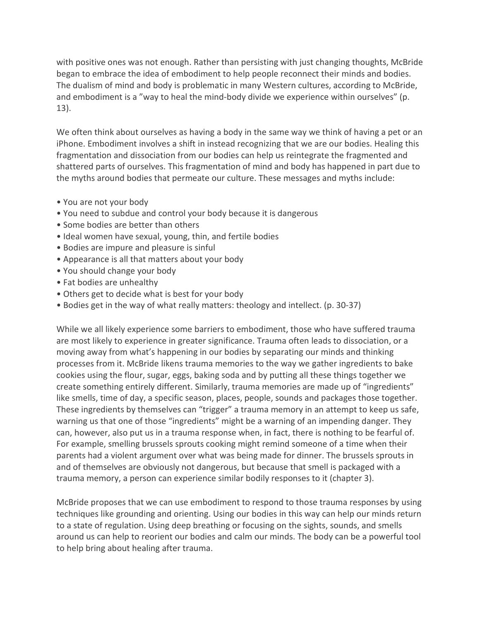with positive ones was not enough. Rather than persisting with just changing thoughts, McBride began to embrace the idea of embodiment to help people reconnect their minds and bodies. The dualism of mind and body is problematic in many Western cultures, according to McBride, and embodiment is a "way to heal the mind-body divide we experience within ourselves" (p. 13).

We often think about ourselves as having a body in the same way we think of having a pet or an iPhone. Embodiment involves a shift in instead recognizing that we are our bodies. Healing this fragmentation and dissociation from our bodies can help us reintegrate the fragmented and shattered parts of ourselves. This fragmentation of mind and body has happened in part due to the myths around bodies that permeate our culture. These messages and myths include:

- You are not your body
- You need to subdue and control your body because it is dangerous
- Some bodies are better than others
- Ideal women have sexual, young, thin, and fertile bodies
- Bodies are impure and pleasure is sinful
- Appearance is all that matters about your body
- You should change your body
- Fat bodies are unhealthy
- Others get to decide what is best for your body
- Bodies get in the way of what really matters: theology and intellect. (p. 30-37)

While we all likely experience some barriers to embodiment, those who have suffered trauma are most likely to experience in greater significance. Trauma often leads to dissociation, or a moving away from what's happening in our bodies by separating our minds and thinking processes from it. McBride likens trauma memories to the way we gather ingredients to bake cookies using the flour, sugar, eggs, baking soda and by putting all these things together we create something entirely different. Similarly, trauma memories are made up of "ingredients" like smells, time of day, a specific season, places, people, sounds and packages those together. These ingredients by themselves can "trigger" a trauma memory in an attempt to keep us safe, warning us that one of those "ingredients" might be a warning of an impending danger. They can, however, also put us in a trauma response when, in fact, there is nothing to be fearful of. For example, smelling brussels sprouts cooking might remind someone of a time when their parents had a violent argument over what was being made for dinner. The brussels sprouts in and of themselves are obviously not dangerous, but because that smell is packaged with a trauma memory, a person can experience similar bodily responses to it (chapter 3).

McBride proposes that we can use embodiment to respond to those trauma responses by using techniques like grounding and orienting. Using our bodies in this way can help our minds return to a state of regulation. Using deep breathing or focusing on the sights, sounds, and smells around us can help to reorient our bodies and calm our minds. The body can be a powerful tool to help bring about healing after trauma.